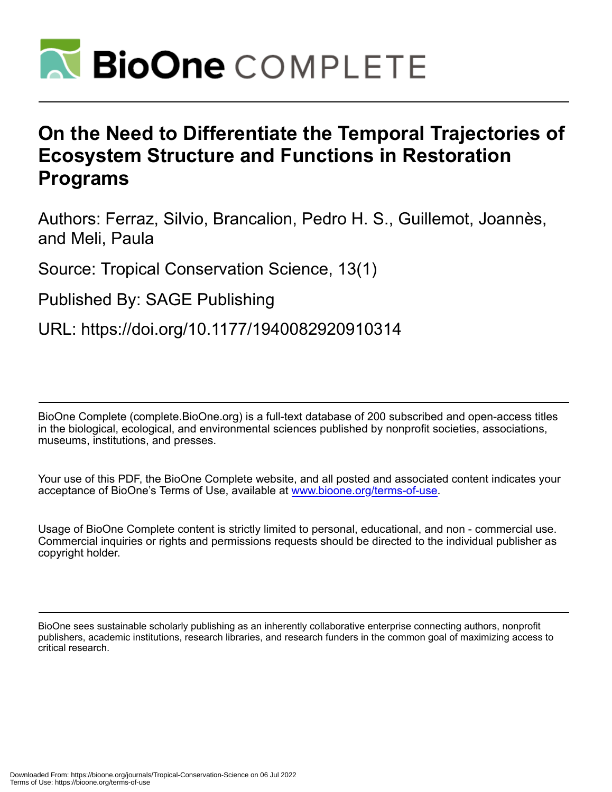

# **On the Need to Differentiate the Temporal Trajectories of Ecosystem Structure and Functions in Restoration Programs**

Authors: Ferraz, Silvio, Brancalion, Pedro H. S., Guillemot, Joannès, and Meli, Paula

Source: Tropical Conservation Science, 13(1)

Published By: SAGE Publishing

URL: https://doi.org/10.1177/1940082920910314

BioOne Complete (complete.BioOne.org) is a full-text database of 200 subscribed and open-access titles in the biological, ecological, and environmental sciences published by nonprofit societies, associations, museums, institutions, and presses.

Your use of this PDF, the BioOne Complete website, and all posted and associated content indicates your acceptance of BioOne's Terms of Use, available at www.bioone.org/terms-of-use.

Usage of BioOne Complete content is strictly limited to personal, educational, and non - commercial use. Commercial inquiries or rights and permissions requests should be directed to the individual publisher as copyright holder.

BioOne sees sustainable scholarly publishing as an inherently collaborative enterprise connecting authors, nonprofit publishers, academic institutions, research libraries, and research funders in the common goal of maximizing access to critical research.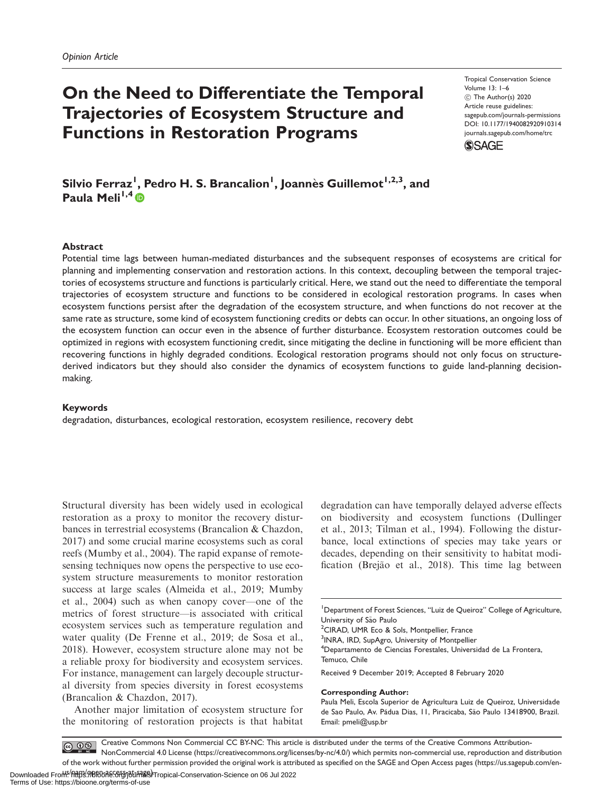## On the Need to Differentiate the Temporal Trajectories of Ecosystem Structure and Functions in Restoration Programs

Tropical Conservation Science Volume 13: 1–6 C The Author(s) 2020 Article reuse guidelines: [sagepub.com/journals-permissions](http://us.sagepub.com/en-us/journals-permissions) [DOI: 10.1177/1940082920910314](http://dx.doi.org/10.1177/1940082920910314) <journals.sagepub.com/home/trc>



Silvio Ferraz<sup>I</sup>, Pedro H. S. Brancalion<sup>I</sup>, Joannès Guillemot<sup>I,2,3</sup>, and Paula Meli<sup>1,4</sup> $\bullet$ 

## **Abstract**

Potential time lags between human-mediated disturbances and the subsequent responses of ecosystems are critical for planning and implementing conservation and restoration actions. In this context, decoupling between the temporal trajectories of ecosystems structure and functions is particularly critical. Here, we stand out the need to differentiate the temporal trajectories of ecosystem structure and functions to be considered in ecological restoration programs. In cases when ecosystem functions persist after the degradation of the ecosystem structure, and when functions do not recover at the same rate as structure, some kind of ecosystem functioning credits or debts can occur. In other situations, an ongoing loss of the ecosystem function can occur even in the absence of further disturbance. Ecosystem restoration outcomes could be optimized in regions with ecosystem functioning credit, since mitigating the decline in functioning will be more efficient than recovering functions in highly degraded conditions. Ecological restoration programs should not only focus on structurederived indicators but they should also consider the dynamics of ecosystem functions to guide land-planning decisionmaking.

### Keywords

degradation, disturbances, ecological restoration, ecosystem resilience, recovery debt

Structural diversity has been widely used in ecological restoration as a proxy to monitor the recovery disturbances in terrestrial ecosystems (Brancalion & Chazdon, 2017) and some crucial marine ecosystems such as coral reefs (Mumby et al., 2004). The rapid expanse of remotesensing techniques now opens the perspective to use ecosystem structure measurements to monitor restoration success at large scales (Almeida et al., 2019; Mumby et al., 2004) such as when canopy cover—one of the metrics of forest structure—is associated with critical ecosystem services such as temperature regulation and water quality (De Frenne et al., 2019; de Sosa et al., 2018). However, ecosystem structure alone may not be a reliable proxy for biodiversity and ecosystem services. For instance, management can largely decouple structural diversity from species diversity in forest ecosystems (Brancalion & Chazdon, 2017).

Another major limitation of ecosystem structure for the monitoring of restoration projects is that habitat degradation can have temporally delayed adverse effects on biodiversity and ecosystem functions (Dullinger et al., 2013; Tilman et al., 1994). Following the disturbance, local extinctions of species may take years or decades, depending on their sensitivity to habitat modification (Brejão et al., 2018). This time lag between

<sup>1</sup>Department of Forest Sciences, "Luiz de Queiroz" College of Agriculture, University of São Paulo

<sup>2</sup>CIRAD, UMR Eco & Sols, Montpellier, France

<sup>3</sup>INRA, IRD, SupAgro, University of Montpellier

<sup>4</sup>Departamento de Ciencias Forestales, Universidad de La Frontera, Temuco, Chile

Received 9 December 2019; Accepted 8 February 2020

#### Corresponding Author:

Creative Commons Non Commercial CC BY-NC: This article is distributed under the terms of the Creative Commons Attribution- $\circ$   $\circ$ NonCommercial 4.0 License (https://creativecommons.org/licenses/by-nc/4.0/) which permits non-commercial use, reproduction and distribution of the work without further permission provided the original work is attributed as specified on the SAGE and Open Access pages (https://us.sagepub.com/en-

Paula Meli, Escola Superior de Agricultura Luiz de Queiroz, Universidade de Sao Paulo, Av. Pádua Dias, 11, Piracicaba, São Paulo 13418900, Brazil. Email: [pmeli@usp.br](mailto:pmeli@usp.br)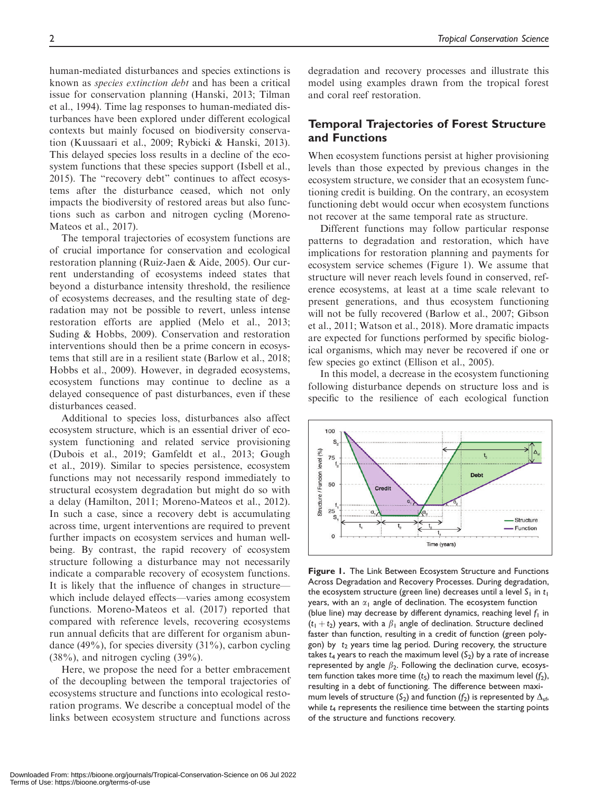human-mediated disturbances and species extinctions is known as species extinction debt and has been a critical issue for conservation planning (Hanski, 2013; Tilman et al., 1994). Time lag responses to human-mediated disturbances have been explored under different ecological contexts but mainly focused on biodiversity conservation (Kuussaari et al., 2009; Rybicki & Hanski, 2013). This delayed species loss results in a decline of the ecosystem functions that these species support (Isbell et al., 2015). The "recovery debt" continues to affect ecosystems after the disturbance ceased, which not only impacts the biodiversity of restored areas but also functions such as carbon and nitrogen cycling (Moreno-Mateos et al., 2017).

The temporal trajectories of ecosystem functions are of crucial importance for conservation and ecological restoration planning (Ruiz-Jaen & Aide, 2005). Our current understanding of ecosystems indeed states that beyond a disturbance intensity threshold, the resilience of ecosystems decreases, and the resulting state of degradation may not be possible to revert, unless intense restoration efforts are applied (Melo et al., 2013; Suding & Hobbs, 2009). Conservation and restoration interventions should then be a prime concern in ecosystems that still are in a resilient state (Barlow et al., 2018; Hobbs et al., 2009). However, in degraded ecosystems, ecosystem functions may continue to decline as a delayed consequence of past disturbances, even if these disturbances ceased.

Additional to species loss, disturbances also affect ecosystem structure, which is an essential driver of ecosystem functioning and related service provisioning (Dubois et al., 2019; Gamfeldt et al., 2013; Gough et al., 2019). Similar to species persistence, ecosystem functions may not necessarily respond immediately to structural ecosystem degradation but might do so with a delay (Hamilton, 2011; Moreno-Mateos et al., 2012). In such a case, since a recovery debt is accumulating across time, urgent interventions are required to prevent further impacts on ecosystem services and human wellbeing. By contrast, the rapid recovery of ecosystem structure following a disturbance may not necessarily indicate a comparable recovery of ecosystem functions. It is likely that the influence of changes in structure which include delayed effects—varies among ecosystem functions. Moreno-Mateos et al. (2017) reported that compared with reference levels, recovering ecosystems run annual deficits that are different for organism abundance  $(49\%)$ , for species diversity  $(31\%)$ , carbon cycling  $(38\%)$ , and nitrogen cycling  $(39\%)$ .

Here, we propose the need for a better embracement of the decoupling between the temporal trajectories of ecosystems structure and functions into ecological restoration programs. We describe a conceptual model of the links between ecosystem structure and functions across

degradation and recovery processes and illustrate this model using examples drawn from the tropical forest and coral reef restoration.

## Temporal Trajectories of Forest Structure and Functions

When ecosystem functions persist at higher provisioning levels than those expected by previous changes in the ecosystem structure, we consider that an ecosystem functioning credit is building. On the contrary, an ecosystem functioning debt would occur when ecosystem functions not recover at the same temporal rate as structure.

Different functions may follow particular response patterns to degradation and restoration, which have implications for restoration planning and payments for ecosystem service schemes (Figure 1). We assume that structure will never reach levels found in conserved, reference ecosystems, at least at a time scale relevant to present generations, and thus ecosystem functioning will not be fully recovered (Barlow et al., 2007; Gibson et al., 2011; Watson et al., 2018). More dramatic impacts are expected for functions performed by specific biological organisms, which may never be recovered if one or few species go extinct (Ellison et al., 2005).

In this model, a decrease in the ecosystem functioning following disturbance depends on structure loss and is specific to the resilience of each ecological function



Figure 1. The Link Between Ecosystem Structure and Functions Across Degradation and Recovery Processes. During degradation, the ecosystem structure (green line) decreases until a level  $S_1$  in  $t_1$ years, with an  $\alpha_1$  angle of declination. The ecosystem function (blue line) may decrease by different dynamics, reaching level  $f_1$  in  $(t_1 + t_2)$  years, with a  $\beta_1$  angle of declination. Structure declined faster than function, resulting in a credit of function (green polygon) by  $t_2$  years time lag period. During recovery, the structure takes  $t_4$  years to reach the maximum level  $(S_2)$  by a rate of increase represented by angle  $\beta_2$ . Following the declination curve, ecosystem function takes more time  $(t_5)$  to reach the maximum level  $(f_2)$ , resulting in a debt of functioning. The difference between maximum levels of structure (S<sub>2</sub>) and function (f<sub>2</sub>) is represented by  $\Delta_{\text{sf}}$ , while  $t_4$  represents the resilience time between the starting points of the structure and functions recovery.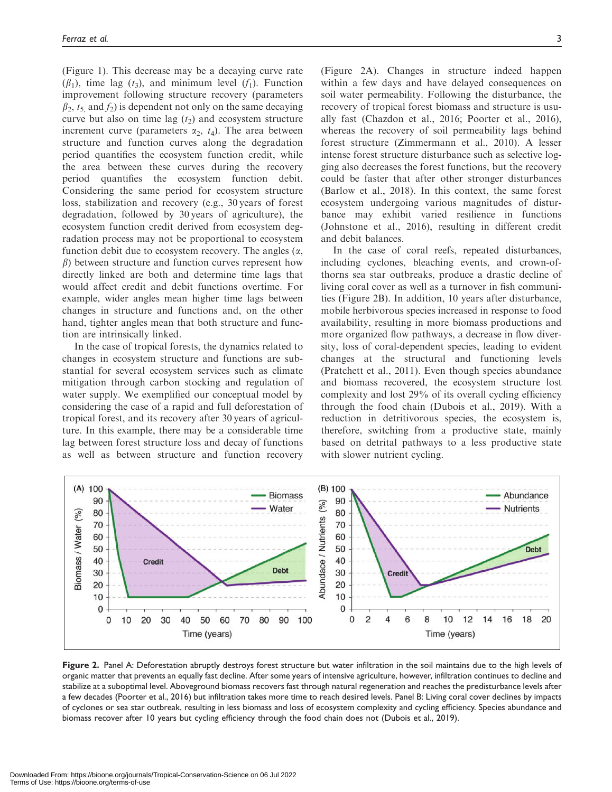(Figure 1). This decrease may be a decaying curve rate  $(\beta_1)$ , time lag  $(t_3)$ , and minimum level  $(f_1)$ . Function improvement following structure recovery (parameters  $\beta_2$ ,  $t_5$  and  $f_2$ ) is dependent not only on the same decaying curve but also on time lag  $(t_2)$  and ecosystem structure increment curve (parameters  $\alpha_2$ ,  $t_4$ ). The area between structure and function curves along the degradation period quantifies the ecosystem function credit, while the area between these curves during the recovery period quantifies the ecosystem function debit. Considering the same period for ecosystem structure loss, stabilization and recovery (e.g., 30 years of forest degradation, followed by 30 years of agriculture), the ecosystem function credit derived from ecosystem degradation process may not be proportional to ecosystem function debit due to ecosystem recovery. The angles  $(\alpha, \beta)$  $\beta$ ) between structure and function curves represent how directly linked are both and determine time lags that would affect credit and debit functions overtime. For example, wider angles mean higher time lags between changes in structure and functions and, on the other hand, tighter angles mean that both structure and function are intrinsically linked.

In the case of tropical forests, the dynamics related to changes in ecosystem structure and functions are substantial for several ecosystem services such as climate mitigation through carbon stocking and regulation of water supply. We exemplified our conceptual model by considering the case of a rapid and full deforestation of tropical forest, and its recovery after 30 years of agriculture. In this example, there may be a considerable time lag between forest structure loss and decay of functions as well as between structure and function recovery

(Figure 2A). Changes in structure indeed happen within a few days and have delayed consequences on soil water permeability. Following the disturbance, the recovery of tropical forest biomass and structure is usually fast (Chazdon et al., 2016; Poorter et al., 2016), whereas the recovery of soil permeability lags behind forest structure (Zimmermann et al., 2010). A lesser intense forest structure disturbance such as selective logging also decreases the forest functions, but the recovery could be faster that after other stronger disturbances (Barlow et al., 2018). In this context, the same forest ecosystem undergoing various magnitudes of disturbance may exhibit varied resilience in functions (Johnstone et al., 2016), resulting in different credit and debit balances.

In the case of coral reefs, repeated disturbances, including cyclones, bleaching events, and crown-ofthorns sea star outbreaks, produce a drastic decline of living coral cover as well as a turnover in fish communities (Figure 2B). In addition, 10 years after disturbance, mobile herbivorous species increased in response to food availability, resulting in more biomass productions and more organized flow pathways, a decrease in flow diversity, loss of coral-dependent species, leading to evident changes at the structural and functioning levels (Pratchett et al., 2011). Even though species abundance and biomass recovered, the ecosystem structure lost complexity and lost 29% of its overall cycling efficiency through the food chain (Dubois et al., 2019). With a reduction in detritivorous species, the ecosystem is, therefore, switching from a productive state, mainly based on detrital pathways to a less productive state with slower nutrient cycling.



Figure 2. Panel A: Deforestation abruptly destroys forest structure but water infiltration in the soil maintains due to the high levels of organic matter that prevents an equally fast decline. After some years of intensive agriculture, however, infiltration continues to decline and stabilize at a suboptimal level. Aboveground biomass recovers fast through natural regeneration and reaches the predisturbance levels after a few decades (Poorter et al., 2016) but infiltration takes more time to reach desired levels. Panel B: Living coral cover declines by impacts of cyclones or sea star outbreak, resulting in less biomass and loss of ecosystem complexity and cycling efficiency. Species abundance and biomass recover after 10 years but cycling efficiency through the food chain does not (Dubois et al., 2019).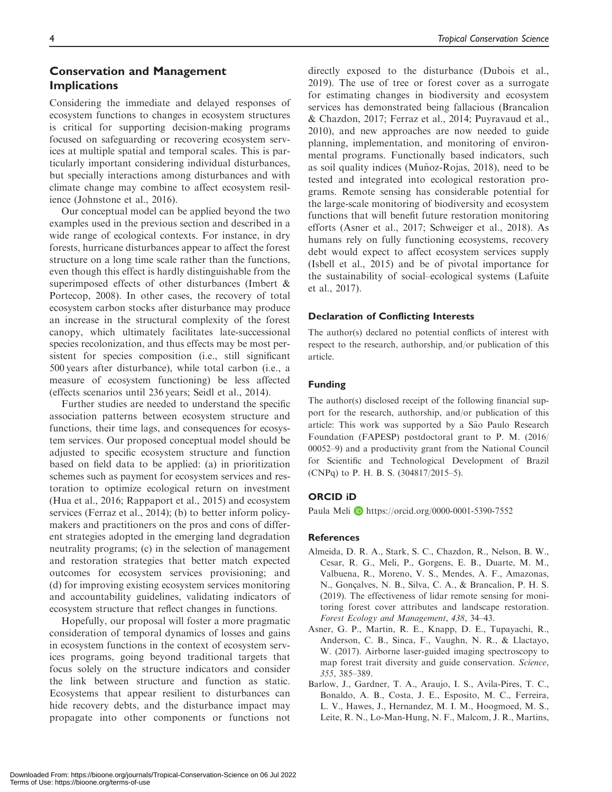## Conservation and Management Implications

Considering the immediate and delayed responses of ecosystem functions to changes in ecosystem structures is critical for supporting decision-making programs focused on safeguarding or recovering ecosystem services at multiple spatial and temporal scales. This is particularly important considering individual disturbances, but specially interactions among disturbances and with climate change may combine to affect ecosystem resilience (Johnstone et al., 2016).

Our conceptual model can be applied beyond the two examples used in the previous section and described in a wide range of ecological contexts. For instance, in dry forests, hurricane disturbances appear to affect the forest structure on a long time scale rather than the functions, even though this effect is hardly distinguishable from the superimposed effects of other disturbances (Imbert & Portecop, 2008). In other cases, the recovery of total ecosystem carbon stocks after disturbance may produce an increase in the structural complexity of the forest canopy, which ultimately facilitates late-successional species recolonization, and thus effects may be most persistent for species composition (i.e., still significant 500 years after disturbance), while total carbon (i.e., a measure of ecosystem functioning) be less affected (effects scenarios until 236 years; Seidl et al., 2014).

Further studies are needed to understand the specific association patterns between ecosystem structure and functions, their time lags, and consequences for ecosystem services. Our proposed conceptual model should be adjusted to specific ecosystem structure and function based on field data to be applied: (a) in prioritization schemes such as payment for ecosystem services and restoration to optimize ecological return on investment (Hua et al., 2016; Rappaport et al., 2015) and ecosystem services (Ferraz et al., 2014); (b) to better inform policymakers and practitioners on the pros and cons of different strategies adopted in the emerging land degradation neutrality programs; (c) in the selection of management and restoration strategies that better match expected outcomes for ecosystem services provisioning; and (d) for improving existing ecosystem services monitoring and accountability guidelines, validating indicators of ecosystem structure that reflect changes in functions.

Hopefully, our proposal will foster a more pragmatic consideration of temporal dynamics of losses and gains in ecosystem functions in the context of ecosystem services programs, going beyond traditional targets that focus solely on the structure indicators and consider the link between structure and function as static. Ecosystems that appear resilient to disturbances can hide recovery debts, and the disturbance impact may propagate into other components or functions not directly exposed to the disturbance (Dubois et al., 2019). The use of tree or forest cover as a surrogate for estimating changes in biodiversity and ecosystem services has demonstrated being fallacious (Brancalion & Chazdon, 2017; Ferraz et al., 2014; Puyravaud et al., 2010), and new approaches are now needed to guide planning, implementation, and monitoring of environmental programs. Functionally based indicators, such as soil quality indices (Munoz-Rojas,  $2018$ ), need to be tested and integrated into ecological restoration programs. Remote sensing has considerable potential for the large-scale monitoring of biodiversity and ecosystem functions that will benefit future restoration monitoring efforts (Asner et al., 2017; Schweiger et al., 2018). As humans rely on fully functioning ecosystems, recovery debt would expect to affect ecosystem services supply (Isbell et al., 2015) and be of pivotal importance for the sustainability of social–ecological systems (Lafuite et al., 2017).

## Declaration of Conflicting Interests

The author(s) declared no potential conflicts of interest with respect to the research, authorship, and/or publication of this article.

## Funding

The author(s) disclosed receipt of the following financial support for the research, authorship, and/or publication of this article: This work was supported by a São Paulo Research Foundation (FAPESP) postdoctoral grant to P. M. (2016/ 00052–9) and a productivity grant from the National Council for Scientific and Technological Development of Brazil (CNPq) to P. H. B. S. (304817/2015–5).

## ORCID iD

Paula Meli D <https://orcid.org/0000-0001-5390-7552>

#### References

- Almeida, D. R. A., Stark, S. C., Chazdon, R., Nelson, B. W., Cesar, R. G., Meli, P., Gorgens, E. B., Duarte, M. M., Valbuena, R., Moreno, V. S., Mendes, A. F., Amazonas, N., Gonçalves, N. B., Silva, C. A., & Brancalion, P. H. S. (2019). The effectiveness of lidar remote sensing for monitoring forest cover attributes and landscape restoration. Forest Ecology and Management, 438, 34–43.
- Asner, G. P., Martin, R. E., Knapp, D. E., Tupayachi, R., Anderson, C. B., Sinca, F., Vaughn, N. R., & Llactayo, W. (2017). Airborne laser-guided imaging spectroscopy to map forest trait diversity and guide conservation. Science, 355, 385–389.
- Barlow, J., Gardner, T. A., Araujo, I. S., Avila-Pires, T. C., Bonaldo, A. B., Costa, J. E., Esposito, M. C., Ferreira, L. V., Hawes, J., Hernandez, M. I. M., Hoogmoed, M. S., Leite, R. N., Lo-Man-Hung, N. F., Malcom, J. R., Martins,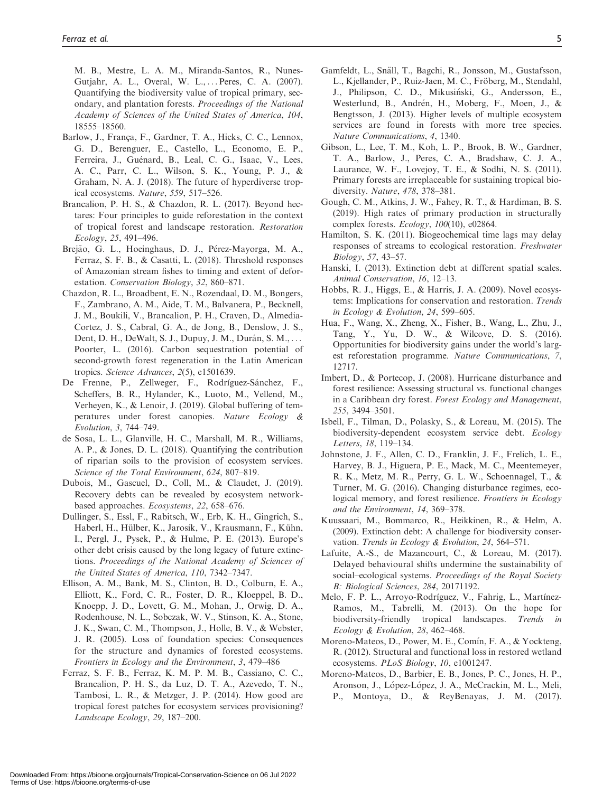M. B., Mestre, L. A. M., Miranda-Santos, R., Nunes-Gutjahr, A. L., Overal, W. L., ... Peres, C. A. (2007). Quantifying the biodiversity value of tropical primary, secondary, and plantation forests. Proceedings of the National Academy of Sciences of the United States of America, 104, 18555–18560.

- Barlow, J., França, F., Gardner, T. A., Hicks, C. C., Lennox, G. D., Berenguer, E., Castello, L., Economo, E. P., Ferreira, J., Guénard, B., Leal, C. G., Isaac, V., Lees, A. C., Parr, C. L., Wilson, S. K., Young, P. J., & Graham, N. A. J. (2018). The future of hyperdiverse tropical ecosystems. Nature, 559, 517–526.
- Brancalion, P. H. S., & Chazdon, R. L. (2017). Beyond hectares: Four principles to guide reforestation in the context of tropical forest and landscape restoration. Restoration Ecology, 25, 491–496.
- Brejão, G. L., Hoeinghaus, D. J., Pérez-Mayorga, M. A., Ferraz, S. F. B., & Casatti, L. (2018). Threshold responses of Amazonian stream fishes to timing and extent of deforestation. Conservation Biology, 32, 860–871.
- Chazdon, R. L., Broadbent, E. N., Rozendaal, D. M., Bongers, F., Zambrano, A. M., Aide, T. M., Balvanera, P., Becknell, J. M., Boukili, V., Brancalion, P. H., Craven, D., Almedia-Cortez, J. S., Cabral, G. A., de Jong, B., Denslow, J. S., Dent, D. H., DeWalt, S. J., Dupuy, J. M., Durán, S. M., ... Poorter, L. (2016). Carbon sequestration potential of second-growth forest regeneration in the Latin American tropics. Science Advances, 2(5), e1501639.
- De Frenne, P., Zellweger, F., Rodríguez-Sánchez, F., Scheffers, B. R., Hylander, K., Luoto, M., Vellend, M., Verheyen, K., & Lenoir, J. (2019). Global buffering of temperatures under forest canopies. Nature Ecology & Evolution, 3, 744–749.
- de Sosa, L. L., Glanville, H. C., Marshall, M. R., Williams, A. P., & Jones, D. L. (2018). Quantifying the contribution of riparian soils to the provision of ecosystem services. Science of the Total Environment, 624, 807–819.
- Dubois, M., Gascuel, D., Coll, M., & Claudet, J. (2019). Recovery debts can be revealed by ecosystem networkbased approaches. Ecosystems, 22, 658–676.
- Dullinger, S., Essl, F., Rabitsch, W., Erb, K. H., Gingrich, S., Haberl, H., Hülber, K., Jarosík, V., Krausmann, F., Kühn, I., Pergl, J., Pysek, P., & Hulme, P. E. (2013). Europe's other debt crisis caused by the long legacy of future extinctions. Proceedings of the National Academy of Sciences of the United States of America, 110, 7342–7347.
- Ellison, A. M., Bank, M. S., Clinton, B. D., Colburn, E. A., Elliott, K., Ford, C. R., Foster, D. R., Kloeppel, B. D., Knoepp, J. D., Lovett, G. M., Mohan, J., Orwig, D. A., Rodenhouse, N. L., Sobczak, W. V., Stinson, K. A., Stone, J. K., Swan, C. M., Thompson, J., Holle, B. V., & Webster, J. R. (2005). Loss of foundation species: Consequences for the structure and dynamics of forested ecosystems. Frontiers in Ecology and the Environment, 3, 479–486
- Ferraz, S. F. B., Ferraz, K. M. P. M. B., Cassiano, C. C., Brancalion, P. H. S., da Luz, D. T. A., Azevedo, T. N., Tambosi, L. R., & Metzger, J. P. (2014). How good are tropical forest patches for ecosystem services provisioning? Landscape Ecology, 29, 187–200.
- Gamfeldt, L., Snäll, T., Bagchi, R., Jonsson, M., Gustafsson, L., Kjellander, P., Ruiz-Jaen, M. C., Fröberg, M., Stendahl, J., Philipson, C. D., Mikusinski, G., Andersson, E., Westerlund, B., Andrén, H., Moberg, F., Moen, J., & Bengtsson, J. (2013). Higher levels of multiple ecosystem services are found in forests with more tree species. Nature Communications, 4, 1340.
- Gibson, L., Lee, T. M., Koh, L. P., Brook, B. W., Gardner, T. A., Barlow, J., Peres, C. A., Bradshaw, C. J. A., Laurance, W. F., Lovejoy, T. E., & Sodhi, N. S. (2011). Primary forests are irreplaceable for sustaining tropical biodiversity. Nature, 478, 378–381.
- Gough, C. M., Atkins, J. W., Fahey, R. T., & Hardiman, B. S. (2019). High rates of primary production in structurally complex forests.  $Ecology$ ,  $100(10)$ , e02864.
- Hamilton, S. K. (2011). Biogeochemical time lags may delay responses of streams to ecological restoration. Freshwater Biology, 57, 43–57.
- Hanski, I. (2013). Extinction debt at different spatial scales. Animal Conservation, 16, 12–13.
- Hobbs, R. J., Higgs, E., & Harris, J. A. (2009). Novel ecosystems: Implications for conservation and restoration. Trends in Ecology & Evolution, 24, 599–605.
- Hua, F., Wang, X., Zheng, X., Fisher, B., Wang, L., Zhu, J., Tang, Y., Yu, D. W., & Wilcove, D. S. (2016). Opportunities for biodiversity gains under the world's largest reforestation programme. Nature Communications, 7, 12717.
- Imbert, D., & Portecop, J. (2008). Hurricane disturbance and forest resilience: Assessing structural vs. functional changes in a Caribbean dry forest. Forest Ecology and Management, 255, 3494–3501.
- Isbell, F., Tilman, D., Polasky, S., & Loreau, M. (2015). The biodiversity-dependent ecosystem service debt. Ecology Letters, 18, 119–134.
- Johnstone, J. F., Allen, C. D., Franklin, J. F., Frelich, L. E., Harvey, B. J., Higuera, P. E., Mack, M. C., Meentemeyer, R. K., Metz, M. R., Perry, G. L. W., Schoennagel, T., & Turner, M. G. (2016). Changing disturbance regimes, ecological memory, and forest resilience. Frontiers in Ecology and the Environment, 14, 369–378.
- Kuussaari, M., Bommarco, R., Heikkinen, R., & Helm, A. (2009). Extinction debt: A challenge for biodiversity conservation. Trends in Ecology & Evolution, 24, 564–571.
- Lafuite, A.-S., de Mazancourt, C., & Loreau, M. (2017). Delayed behavioural shifts undermine the sustainability of social–ecological systems. Proceedings of the Royal Society B: Biological Sciences, 284, 20171192.
- Melo, F. P. L., Arroyo-Rodríguez, V., Fahrig, L., Martínez-Ramos, M., Tabrelli, M. (2013). On the hope for biodiversity-friendly tropical landscapes. Trends in Ecology & Evolution, 28, 462–468.
- Moreno-Mateos, D., Power, M. E., Comín, F. A., & Yockteng, R. (2012). Structural and functional loss in restored wetland ecosystems. PLoS Biology, 10, e1001247.
- Moreno-Mateos, D., Barbier, E. B., Jones, P. C., Jones, H. P., Aronson, J., López-López, J. A., McCrackin, M. L., Meli, P., Montoya, D., & ReyBenayas, J. M. (2017).